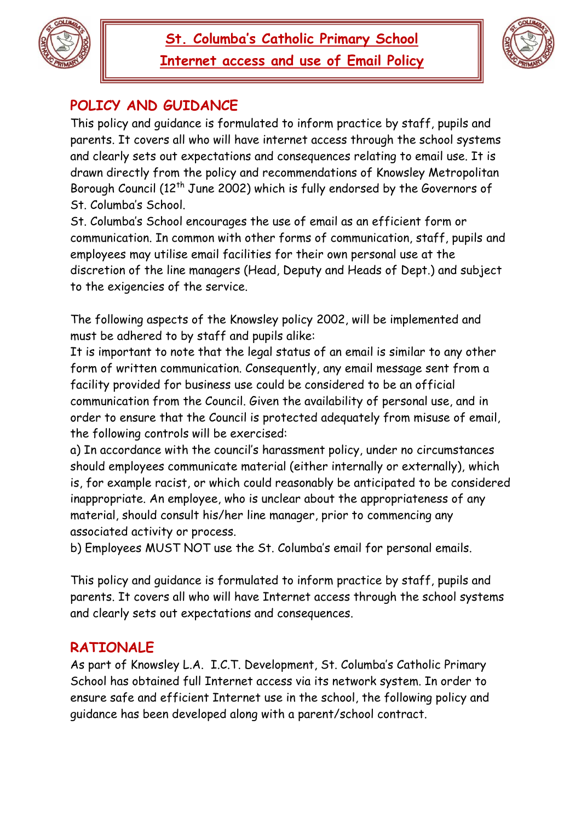



# **POLICY AND GUIDANCE**

This policy and guidance is formulated to inform practice by staff, pupils and parents. It covers all who will have internet access through the school systems and clearly sets out expectations and consequences relating to email use. It is drawn directly from the policy and recommendations of Knowsley Metropolitan Borough Council (12<sup>th</sup> June 2002) which is fully endorsed by the Governors of St. Columba's School.

St. Columba's School encourages the use of email as an efficient form or communication. In common with other forms of communication, staff, pupils and employees may utilise email facilities for their own personal use at the discretion of the line managers (Head, Deputy and Heads of Dept.) and subject to the exigencies of the service.

The following aspects of the Knowsley policy 2002, will be implemented and must be adhered to by staff and pupils alike:

It is important to note that the legal status of an email is similar to any other form of written communication. Consequently, any email message sent from a facility provided for business use could be considered to be an official communication from the Council. Given the availability of personal use, and in order to ensure that the Council is protected adequately from misuse of email, the following controls will be exercised:

a) In accordance with the council's harassment policy, under no circumstances should employees communicate material (either internally or externally), which is, for example racist, or which could reasonably be anticipated to be considered inappropriate. An employee, who is unclear about the appropriateness of any material, should consult his/her line manager, prior to commencing any associated activity or process.

b) Employees MUST NOT use the St. Columba's email for personal emails.

This policy and guidance is formulated to inform practice by staff, pupils and parents. It covers all who will have Internet access through the school systems and clearly sets out expectations and consequences.

### **RATIONALE**

As part of Knowsley L.A. I.C.T. Development, St. Columba's Catholic Primary School has obtained full Internet access via its network system. In order to ensure safe and efficient Internet use in the school, the following policy and guidance has been developed along with a parent/school contract.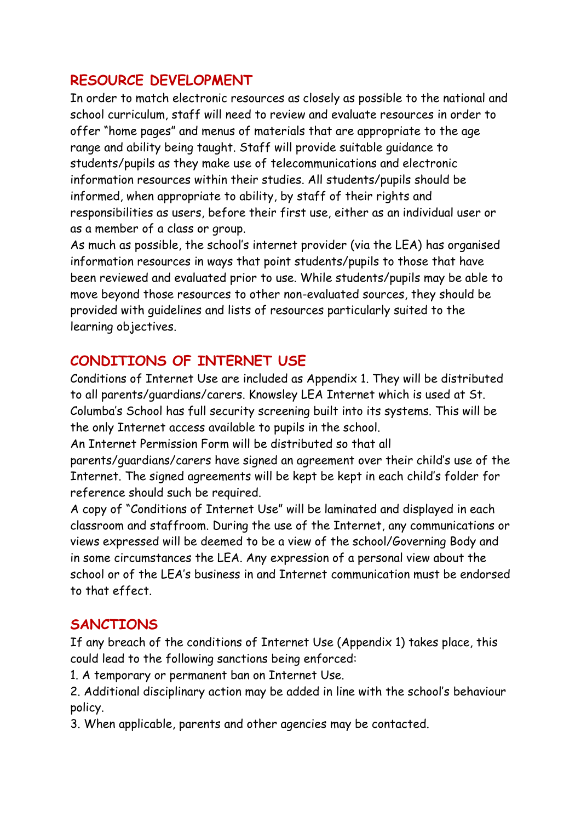# **RESOURCE DEVELOPMENT**

In order to match electronic resources as closely as possible to the national and school curriculum, staff will need to review and evaluate resources in order to offer "home pages" and menus of materials that are appropriate to the age range and ability being taught. Staff will provide suitable guidance to students/pupils as they make use of telecommunications and electronic information resources within their studies. All students/pupils should be informed, when appropriate to ability, by staff of their rights and responsibilities as users, before their first use, either as an individual user or as a member of a class or group.

As much as possible, the school's internet provider (via the LEA) has organised information resources in ways that point students/pupils to those that have been reviewed and evaluated prior to use. While students/pupils may be able to move beyond those resources to other non-evaluated sources, they should be provided with guidelines and lists of resources particularly suited to the learning objectives.

### **CONDITIONS OF INTERNET USE**

Conditions of Internet Use are included as Appendix 1. They will be distributed to all parents/guardians/carers. Knowsley LEA Internet which is used at St. Columba's School has full security screening built into its systems. This will be the only Internet access available to pupils in the school.

An Internet Permission Form will be distributed so that all

parents/guardians/carers have signed an agreement over their child's use of the Internet. The signed agreements will be kept be kept in each child's folder for reference should such be required.

A copy of "Conditions of Internet Use" will be laminated and displayed in each classroom and staffroom. During the use of the Internet, any communications or views expressed will be deemed to be a view of the school/Governing Body and in some circumstances the LEA. Any expression of a personal view about the school or of the LEA's business in and Internet communication must be endorsed to that effect.

### **SANCTIONS**

If any breach of the conditions of Internet Use (Appendix 1) takes place, this could lead to the following sanctions being enforced:

1. A temporary or permanent ban on Internet Use.

2. Additional disciplinary action may be added in line with the school's behaviour policy.

3. When applicable, parents and other agencies may be contacted.